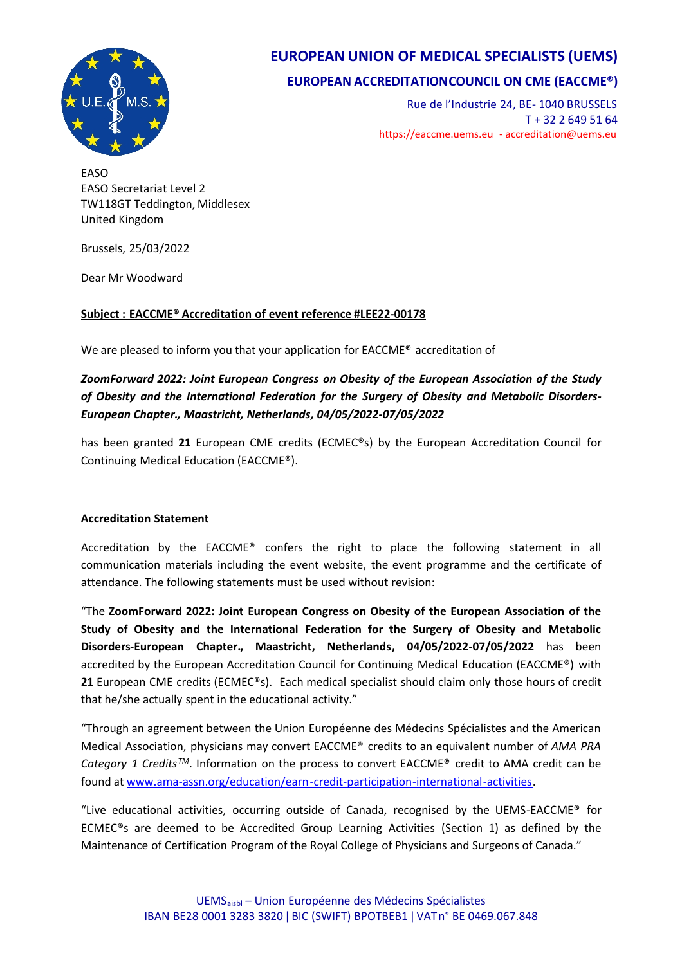

## **EUROPEAN UNION OF MEDICAL SPECIALISTS (UEMS)**

## **EUROPEAN ACCREDITATIONCOUNCIL ON CME (EACCME®)**

Rue de l'Industrie 24, BE- 1040 BRUSSELS T + 32 2 649 51 64 <https://eaccme.uems.eu> - [accreditation@uems.eu](mailto:accreditation@uems.eu)

EASO EASO Secretariat Level 2 TW118GT Teddington, Middlesex United Kingdom

Brussels, 25/03/2022

Dear Mr Woodward

### **Subject : EACCME® Accreditation of event reference #LEE22-00178**

We are pleased to inform you that your application for EACCME<sup>®</sup> accreditation of

### *ZoomForward 2022: Joint European Congress on Obesity of the European Association of the Study of Obesity and the International Federation for the Surgery of Obesity and Metabolic Disorders-European Chapter., Maastricht, Netherlands, 04/05/2022-07/05/2022*

has been granted **21** European CME credits (ECMEC®s) by the European Accreditation Council for Continuing Medical Education (EACCME®).

### **Accreditation Statement**

Accreditation by the EACCME® confers the right to place the following statement in all communication materials including the event website, the event programme and the certificate of attendance. The following statements must be used without revision:

"The **ZoomForward 2022: Joint European Congress on Obesity of the European Association of the Study of Obesity and the International Federation for the Surgery of Obesity and Metabolic Disorders-European Chapter., Maastricht, Netherlands, 04/05/2022-07/05/2022** has been accredited by the European Accreditation Council for Continuing Medical Education (EACCME®) with **21** European CME credits (ECMEC®s). Each medical specialist should claim only those hours of credit that he/she actually spent in the educational activity."

"Through an agreement between the Union Européenne des Médecins Spécialistes and the American Medical Association, physicians may convert EACCME® credits to an equivalent number of *AMA PRA Category 1 CreditsTM*. Information on the process to convert EACCME® credit to AMA credit can be found at <www.ama-assn.org/education/earn-credit-participation-international-activities>.

"Live educational activities, occurring outside of Canada, recognised by the UEMS-EACCME® for ECMEC®s are deemed to be Accredited Group Learning Activities (Section 1) as defined by the Maintenance of Certification Program of the Royal College of Physicians and Surgeons of Canada."